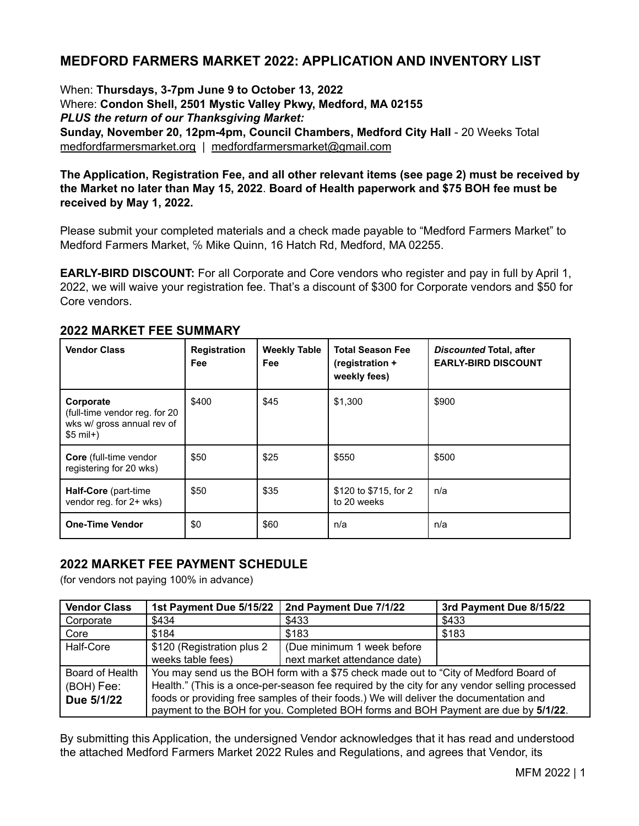# **MEDFORD FARMERS MARKET 2022: APPLICATION AND INVENTORY LIST**

When: **Thursdays, 3-7pm June 9 to October 13, 2022** Where: **Condon Shell, 2501 Mystic Valley Pkwy, Medford, MA 02155** *PLUS the return of our Thanksgiving Market:* **Sunday, November 20, 12pm-4pm, Council Chambers, Medford City Hall** - 20 Weeks Total [medfordfarmersmarket.org](http://medfordsquaremarket.org) | [medfordfarmersmarket@gmail.com](mailto:medfordfarmersmarket@gmail.com)

# **The Application, Registration Fee, and all other relevant items (see page 2) must be received by the Market no later than May 15, 2022**. **Board of Health paperwork and \$75 BOH fee must be received by May 1, 2022.**

Please submit your completed materials and a check made payable to "Medford Farmers Market" to Medford Farmers Market, ℅ Mike Quinn, 16 Hatch Rd, Medford, MA 02255.

**EARLY-BIRD DISCOUNT:** For all Corporate and Core vendors who register and pay in full by April 1, 2022, we will waive your registration fee. That's a discount of \$300 for Corporate vendors and \$50 for Core vendors.

| <b>Vendor Class</b>                                                                     | <b>Registration</b><br><b>Fee</b> | <b>Weekly Table</b><br>Fee | <b>Total Season Fee</b><br>(registration +<br>weekly fees) | Discounted Total, after<br><b>EARLY-BIRD DISCOUNT</b> |
|-----------------------------------------------------------------------------------------|-----------------------------------|----------------------------|------------------------------------------------------------|-------------------------------------------------------|
| Corporate<br>(full-time vendor reg. for 20)<br>wks w/ gross annual rev of<br>$$5$ mil+) | \$400                             | \$45                       | \$1,300                                                    | \$900                                                 |
| <b>Core</b> (full-time vendor<br>registering for 20 wks)                                | \$50                              | \$25                       | \$550                                                      | \$500                                                 |
| Half-Core (part-time<br>vendor reg. for 2+ wks)                                         | \$50                              | \$35                       | \$120 to \$715, for 2<br>to 20 weeks                       | n/a                                                   |
| <b>One-Time Vendor</b>                                                                  | \$0                               | \$60                       | n/a                                                        | n/a                                                   |

# **2022 MARKET FEE SUMMARY**

# **2022 MARKET FEE PAYMENT SCHEDULE**

(for vendors not paying 100% in advance)

| <b>Vendor Class</b> | 1st Payment Due 5/15/22                                                                       | 2nd Payment Due 7/1/22       | 3rd Payment Due 8/15/22 |
|---------------------|-----------------------------------------------------------------------------------------------|------------------------------|-------------------------|
| Corporate           | \$434                                                                                         | \$433                        | \$433                   |
| Core                | \$184                                                                                         | \$183                        | \$183                   |
| Half-Core           | \$120 (Registration plus 2                                                                    | (Due minimum 1 week before)  |                         |
|                     | weeks table fees)                                                                             | next market attendance date) |                         |
| Board of Health     | You may send us the BOH form with a \$75 check made out to "City of Medford Board of          |                              |                         |
| (BOH) Fee:          | Health." (This is a once-per-season fee required by the city for any vendor selling processed |                              |                         |
| Due 5/1/22          | foods or providing free samples of their foods.) We will deliver the documentation and        |                              |                         |
|                     | payment to the BOH for you. Completed BOH forms and BOH Payment are due by 5/1/22.            |                              |                         |

By submitting this Application, the undersigned Vendor acknowledges that it has read and understood the attached Medford Farmers Market 2022 Rules and Regulations, and agrees that Vendor, its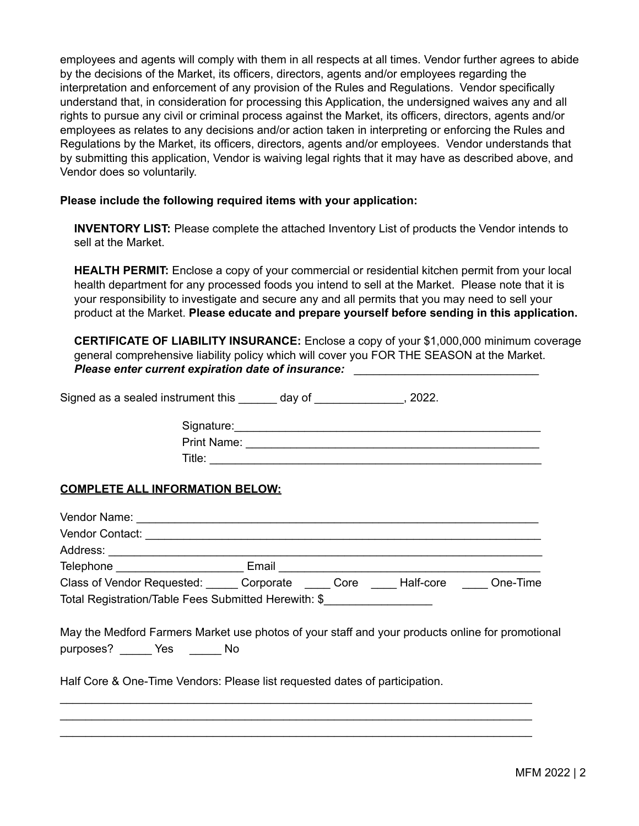employees and agents will comply with them in all respects at all times. Vendor further agrees to abide by the decisions of the Market, its officers, directors, agents and/or employees regarding the interpretation and enforcement of any provision of the Rules and Regulations. Vendor specifically understand that, in consideration for processing this Application, the undersigned waives any and all rights to pursue any civil or criminal process against the Market, its officers, directors, agents and/or employees as relates to any decisions and/or action taken in interpreting or enforcing the Rules and Regulations by the Market, its officers, directors, agents and/or employees. Vendor understands that by submitting this application, Vendor is waiving legal rights that it may have as described above, and Vendor does so voluntarily.

#### **Please include the following required items with your application:**

**INVENTORY LIST:** Please complete the attached Inventory List of products the Vendor intends to sell at the Market.

**HEALTH PERMIT:** Enclose a copy of your commercial or residential kitchen permit from your local health department for any processed foods you intend to sell at the Market. Please note that it is your responsibility to investigate and secure any and all permits that you may need to sell your product at the Market. **Please educate and prepare yourself before sending in this application.**

**CERTIFICATE OF LIABILITY INSURANCE:** Enclose a copy of your \$1,000,000 minimum coverage general comprehensive liability policy which will cover you FOR THE SEASON at the Market. *Please enter current expiration date of insurance:* \_\_\_\_\_\_\_\_\_\_\_\_\_\_\_\_\_\_\_\_\_\_\_\_\_\_\_\_\_

Signed as a sealed instrument this \_\_\_\_\_\_ day of \_\_\_\_\_\_\_\_\_\_\_\_\_, 2022.

| Signature:  |  |
|-------------|--|
| Print Name: |  |
| Title:      |  |

## **COMPLETE ALL INFORMATION BELOW:**

| Vendor Name: Vendor Name:                            |                                                                                                                                                                                 |
|------------------------------------------------------|---------------------------------------------------------------------------------------------------------------------------------------------------------------------------------|
|                                                      |                                                                                                                                                                                 |
|                                                      |                                                                                                                                                                                 |
|                                                      | Telephone _____________________________ Email ___________________________________                                                                                               |
|                                                      | Class of Vendor Requested: Corporate Corporate Core Core Half-core Cone-Time                                                                                                    |
| Total Registration/Table Fees Submitted Herewith: \$ |                                                                                                                                                                                 |
| purposes? _______ Yes _______ No                     | May the Medford Farmers Market use photos of your staff and your products online for promotional<br>Half Core & One-Time Vendors: Please list requested dates of participation. |

\_\_\_\_\_\_\_\_\_\_\_\_\_\_\_\_\_\_\_\_\_\_\_\_\_\_\_\_\_\_\_\_\_\_\_\_\_\_\_\_\_\_\_\_\_\_\_\_\_\_\_\_\_\_\_\_\_\_\_\_\_\_\_\_\_\_\_\_\_\_\_\_\_\_ \_\_\_\_\_\_\_\_\_\_\_\_\_\_\_\_\_\_\_\_\_\_\_\_\_\_\_\_\_\_\_\_\_\_\_\_\_\_\_\_\_\_\_\_\_\_\_\_\_\_\_\_\_\_\_\_\_\_\_\_\_\_\_\_\_\_\_\_\_\_\_\_\_\_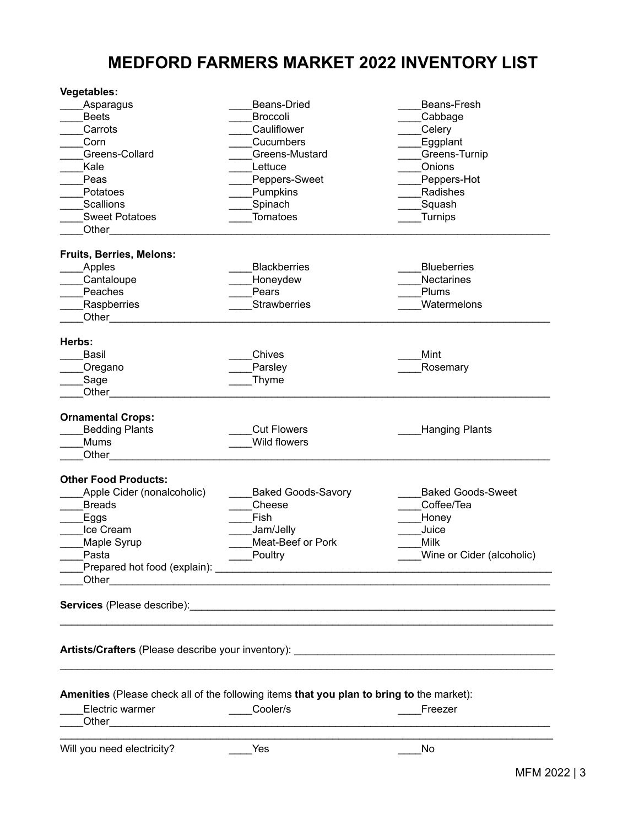# **MEDFORD FARMERS MARKET 2022 INVENTORY LIST**

| <b>Vegetables:</b>                                                                        |                                                                                                                       |                                                           |
|-------------------------------------------------------------------------------------------|-----------------------------------------------------------------------------------------------------------------------|-----------------------------------------------------------|
| Asparagus                                                                                 | Beans-Dried                                                                                                           | Beans-Fresh                                               |
| <b>Beets</b>                                                                              | <b>Broccoli</b>                                                                                                       | Cabbage                                                   |
| Carrots                                                                                   | Cauliflower                                                                                                           | Celery                                                    |
| Corn                                                                                      | Cucumbers                                                                                                             | Eggplant                                                  |
| Greens-Collard                                                                            | Greens-Mustard                                                                                                        | Greens-Turnip                                             |
| Kale                                                                                      | Lettuce                                                                                                               | Onions                                                    |
| Peas                                                                                      | Peppers-Sweet                                                                                                         | Peppers-Hot                                               |
| Potatoes                                                                                  | Pumpkins                                                                                                              | Radishes                                                  |
| <b>Scallions</b>                                                                          | Spinach                                                                                                               | Squash                                                    |
| <b>Sweet Potatoes</b>                                                                     | <b>Tomatoes</b>                                                                                                       | Turnips                                                   |
| Other                                                                                     |                                                                                                                       |                                                           |
|                                                                                           |                                                                                                                       |                                                           |
| <b>Fruits, Berries, Melons:</b>                                                           |                                                                                                                       |                                                           |
| Apples                                                                                    | <b>Blackberries</b>                                                                                                   | <b>Blueberries</b>                                        |
| Cantaloupe                                                                                | Honeydew                                                                                                              | <b>Nectarines</b>                                         |
| Peaches                                                                                   | Pears                                                                                                                 | Plums                                                     |
| Raspberries                                                                               | <b>Strawberries</b>                                                                                                   | Watermelons                                               |
| Other                                                                                     |                                                                                                                       |                                                           |
|                                                                                           |                                                                                                                       |                                                           |
| Herbs:                                                                                    |                                                                                                                       |                                                           |
| Basil                                                                                     | Chives                                                                                                                | Mint                                                      |
| Oregano                                                                                   | Parsley                                                                                                               | Rosemary                                                  |
| Sage                                                                                      | Thyme                                                                                                                 |                                                           |
| Other                                                                                     |                                                                                                                       |                                                           |
|                                                                                           |                                                                                                                       |                                                           |
| <b>Ornamental Crops:</b>                                                                  |                                                                                                                       |                                                           |
| <b>Bedding Plants</b>                                                                     | <b>Cut Flowers</b>                                                                                                    | <b>Hanging Plants</b>                                     |
| Mums                                                                                      | Wild flowers                                                                                                          |                                                           |
| Other                                                                                     |                                                                                                                       |                                                           |
| <b>Other Food Products:</b>                                                               |                                                                                                                       |                                                           |
| Apple Cider (nonalcoholic)                                                                | <b>Baked Goods-Savory</b>                                                                                             | <b>Baked Goods-Sweet</b>                                  |
| <b>Breads</b>                                                                             | Cheese                                                                                                                | Coffee/Tea                                                |
|                                                                                           | Fish                                                                                                                  |                                                           |
| <b>Eggs</b>                                                                               |                                                                                                                       | Honey                                                     |
| Ice Cream                                                                                 | Jam/Jelly<br><b>Meat-Beef or Pork</b>                                                                                 | Juice                                                     |
| Maple Syrup                                                                               |                                                                                                                       | Milk                                                      |
| Pasta                                                                                     | ____Poultry                                                                                                           | Wine or Cider (alcoholic)                                 |
|                                                                                           |                                                                                                                       |                                                           |
| Other                                                                                     | <u> 1980 - Johann Johann Stoff, deutscher Stoff und der Stoff und der Stoff und der Stoff und der Stoff und der S</u> |                                                           |
|                                                                                           |                                                                                                                       |                                                           |
|                                                                                           |                                                                                                                       |                                                           |
|                                                                                           |                                                                                                                       |                                                           |
|                                                                                           |                                                                                                                       |                                                           |
|                                                                                           |                                                                                                                       | <b>Artists/Crafters</b> (Please describe your inventory): |
|                                                                                           |                                                                                                                       |                                                           |
|                                                                                           |                                                                                                                       |                                                           |
| Amenities (Please check all of the following items that you plan to bring to the market): |                                                                                                                       |                                                           |
| Electric warmer                                                                           | ____Cooler/s                                                                                                          | Freezer                                                   |
|                                                                                           |                                                                                                                       |                                                           |
|                                                                                           |                                                                                                                       |                                                           |
| Will you need electricity?                                                                | Yes                                                                                                                   | No                                                        |
|                                                                                           |                                                                                                                       |                                                           |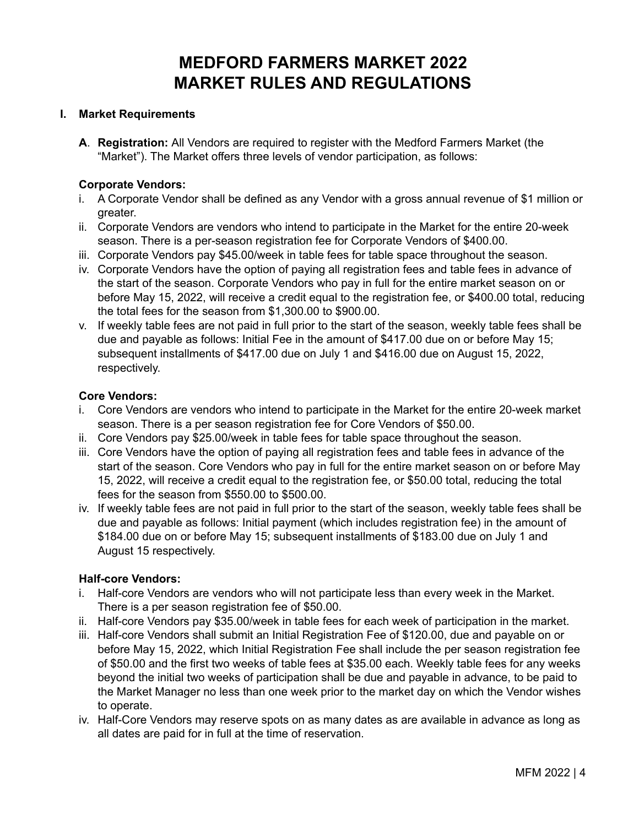# **MEDFORD FARMERS MARKET 2022 MARKET RULES AND REGULATIONS**

#### **I. Market Requirements**

**A**. **Registration:** All Vendors are required to register with the Medford Farmers Market (the "Market"). The Market offers three levels of vendor participation, as follows:

#### **Corporate Vendors:**

- i. A Corporate Vendor shall be defined as any Vendor with a gross annual revenue of \$1 million or greater.
- ii. Corporate Vendors are vendors who intend to participate in the Market for the entire 20-week season. There is a per-season registration fee for Corporate Vendors of \$400.00.
- iii. Corporate Vendors pay \$45.00/week in table fees for table space throughout the season.
- iv. Corporate Vendors have the option of paying all registration fees and table fees in advance of the start of the season. Corporate Vendors who pay in full for the entire market season on or before May 15, 2022, will receive a credit equal to the registration fee, or \$400.00 total, reducing the total fees for the season from \$1,300.00 to \$900.00.
- v. If weekly table fees are not paid in full prior to the start of the season, weekly table fees shall be due and payable as follows: Initial Fee in the amount of \$417.00 due on or before May 15; subsequent installments of \$417.00 due on July 1 and \$416.00 due on August 15, 2022, respectively.

#### **Core Vendors:**

- i. Core Vendors are vendors who intend to participate in the Market for the entire 20-week market season. There is a per season registration fee for Core Vendors of \$50.00.
- ii. Core Vendors pay \$25.00/week in table fees for table space throughout the season.
- iii. Core Vendors have the option of paying all registration fees and table fees in advance of the start of the season. Core Vendors who pay in full for the entire market season on or before May 15, 2022, will receive a credit equal to the registration fee, or \$50.00 total, reducing the total fees for the season from \$550.00 to \$500.00.
- iv. If weekly table fees are not paid in full prior to the start of the season, weekly table fees shall be due and payable as follows: Initial payment (which includes registration fee) in the amount of \$184.00 due on or before May 15; subsequent installments of \$183.00 due on July 1 and August 15 respectively.

## **Half-core Vendors:**

- i. Half-core Vendors are vendors who will not participate less than every week in the Market. There is a per season registration fee of \$50.00.
- ii. Half-core Vendors pay \$35.00/week in table fees for each week of participation in the market.
- iii. Half-core Vendors shall submit an Initial Registration Fee of \$120.00, due and payable on or before May 15, 2022, which Initial Registration Fee shall include the per season registration fee of \$50.00 and the first two weeks of table fees at \$35.00 each. Weekly table fees for any weeks beyond the initial two weeks of participation shall be due and payable in advance, to be paid to the Market Manager no less than one week prior to the market day on which the Vendor wishes to operate.
- iv. Half-Core Vendors may reserve spots on as many dates as are available in advance as long as all dates are paid for in full at the time of reservation.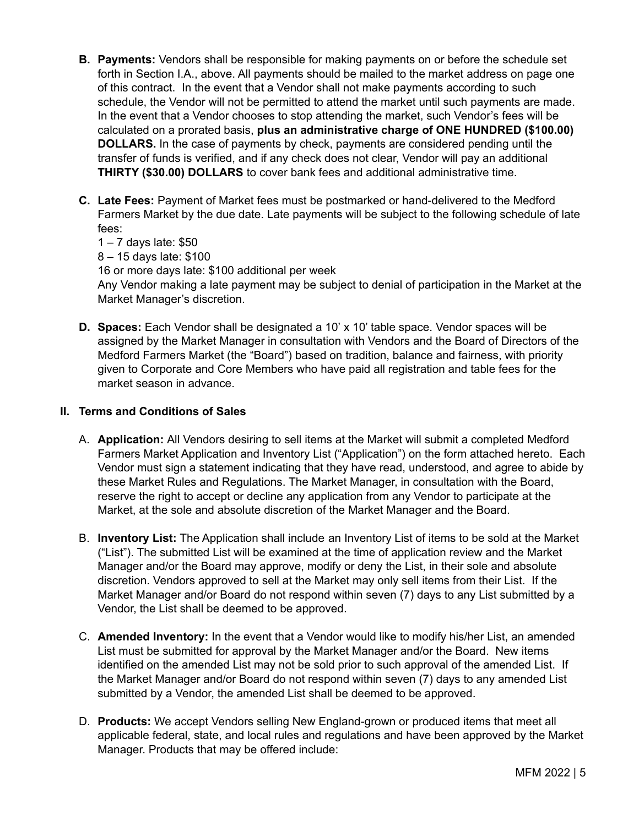- **B. Payments:** Vendors shall be responsible for making payments on or before the schedule set forth in Section I.A., above. All payments should be mailed to the market address on page one of this contract. In the event that a Vendor shall not make payments according to such schedule, the Vendor will not be permitted to attend the market until such payments are made. In the event that a Vendor chooses to stop attending the market, such Vendor's fees will be calculated on a prorated basis, **plus an administrative charge of ONE HUNDRED (\$100.00) DOLLARS.** In the case of payments by check, payments are considered pending until the transfer of funds is verified, and if any check does not clear, Vendor will pay an additional **THIRTY (\$30.00) DOLLARS** to cover bank fees and additional administrative time.
- **C. Late Fees:** Payment of Market fees must be postmarked or hand-delivered to the Medford Farmers Market by the due date. Late payments will be subject to the following schedule of late fees:

1 – 7 days late: \$50

8 – 15 days late: \$100

16 or more days late: \$100 additional per week

Any Vendor making a late payment may be subject to denial of participation in the Market at the Market Manager's discretion.

**D. Spaces:** Each Vendor shall be designated a 10' x 10' table space. Vendor spaces will be assigned by the Market Manager in consultation with Vendors and the Board of Directors of the Medford Farmers Market (the "Board") based on tradition, balance and fairness, with priority given to Corporate and Core Members who have paid all registration and table fees for the market season in advance.

# **II. Terms and Conditions of Sales**

- A. **Application:** All Vendors desiring to sell items at the Market will submit a completed Medford Farmers Market Application and Inventory List ("Application") on the form attached hereto. Each Vendor must sign a statement indicating that they have read, understood, and agree to abide by these Market Rules and Regulations. The Market Manager, in consultation with the Board, reserve the right to accept or decline any application from any Vendor to participate at the Market, at the sole and absolute discretion of the Market Manager and the Board.
- B. **Inventory List:** The Application shall include an Inventory List of items to be sold at the Market ("List"). The submitted List will be examined at the time of application review and the Market Manager and/or the Board may approve, modify or deny the List, in their sole and absolute discretion. Vendors approved to sell at the Market may only sell items from their List. If the Market Manager and/or Board do not respond within seven (7) days to any List submitted by a Vendor, the List shall be deemed to be approved.
- C. **Amended Inventory:** In the event that a Vendor would like to modify his/her List, an amended List must be submitted for approval by the Market Manager and/or the Board. New items identified on the amended List may not be sold prior to such approval of the amended List. If the Market Manager and/or Board do not respond within seven (7) days to any amended List submitted by a Vendor, the amended List shall be deemed to be approved.
- D. **Products:** We accept Vendors selling New England-grown or produced items that meet all applicable federal, state, and local rules and regulations and have been approved by the Market Manager. Products that may be offered include: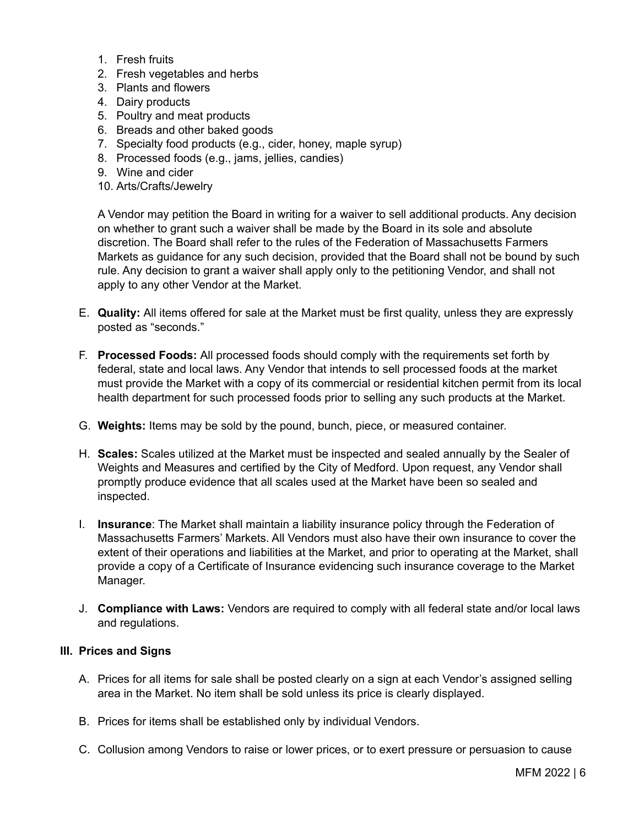- 1. Fresh fruits
- 2. Fresh vegetables and herbs
- 3. Plants and flowers
- 4. Dairy products
- 5. Poultry and meat products
- 6. Breads and other baked goods
- 7. Specialty food products (e.g., cider, honey, maple syrup)
- 8. Processed foods (e.g., jams, jellies, candies)
- 9. Wine and cider
- 10. Arts/Crafts/Jewelry

A Vendor may petition the Board in writing for a waiver to sell additional products. Any decision on whether to grant such a waiver shall be made by the Board in its sole and absolute discretion. The Board shall refer to the rules of the Federation of Massachusetts Farmers Markets as guidance for any such decision, provided that the Board shall not be bound by such rule. Any decision to grant a waiver shall apply only to the petitioning Vendor, and shall not apply to any other Vendor at the Market.

- E. **Quality:** All items offered for sale at the Market must be first quality, unless they are expressly posted as "seconds."
- F. **Processed Foods:** All processed foods should comply with the requirements set forth by federal, state and local laws. Any Vendor that intends to sell processed foods at the market must provide the Market with a copy of its commercial or residential kitchen permit from its local health department for such processed foods prior to selling any such products at the Market.
- G. **Weights:** Items may be sold by the pound, bunch, piece, or measured container.
- H. **Scales:** Scales utilized at the Market must be inspected and sealed annually by the Sealer of Weights and Measures and certified by the City of Medford. Upon request, any Vendor shall promptly produce evidence that all scales used at the Market have been so sealed and inspected.
- I. **Insurance**: The Market shall maintain a liability insurance policy through the Federation of Massachusetts Farmers' Markets. All Vendors must also have their own insurance to cover the extent of their operations and liabilities at the Market, and prior to operating at the Market, shall provide a copy of a Certificate of Insurance evidencing such insurance coverage to the Market Manager.
- J. **Compliance with Laws:** Vendors are required to comply with all federal state and/or local laws and regulations.

#### **III. Prices and Signs**

- A. Prices for all items for sale shall be posted clearly on a sign at each Vendor's assigned selling area in the Market. No item shall be sold unless its price is clearly displayed.
- B. Prices for items shall be established only by individual Vendors.
- C. Collusion among Vendors to raise or lower prices, or to exert pressure or persuasion to cause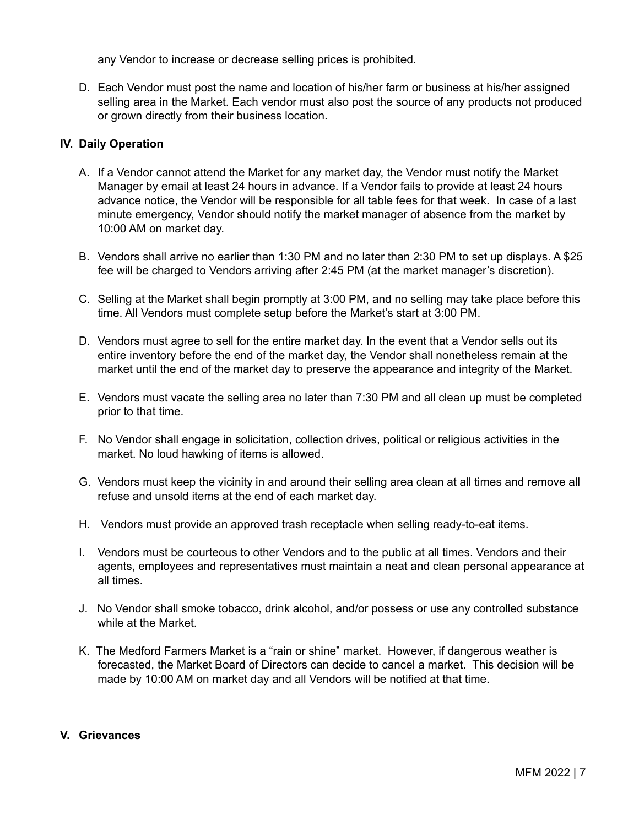any Vendor to increase or decrease selling prices is prohibited.

D. Each Vendor must post the name and location of his/her farm or business at his/her assigned selling area in the Market. Each vendor must also post the source of any products not produced or grown directly from their business location.

# **IV. Daily Operation**

- A. If a Vendor cannot attend the Market for any market day, the Vendor must notify the Market Manager by email at least 24 hours in advance. If a Vendor fails to provide at least 24 hours advance notice, the Vendor will be responsible for all table fees for that week. In case of a last minute emergency, Vendor should notify the market manager of absence from the market by 10:00 AM on market day.
- B. Vendors shall arrive no earlier than 1:30 PM and no later than 2:30 PM to set up displays. A \$25 fee will be charged to Vendors arriving after 2:45 PM (at the market manager's discretion).
- C. Selling at the Market shall begin promptly at 3:00 PM, and no selling may take place before this time. All Vendors must complete setup before the Market's start at 3:00 PM.
- D. Vendors must agree to sell for the entire market day. In the event that a Vendor sells out its entire inventory before the end of the market day, the Vendor shall nonetheless remain at the market until the end of the market day to preserve the appearance and integrity of the Market.
- E. Vendors must vacate the selling area no later than 7:30 PM and all clean up must be completed prior to that time.
- F. No Vendor shall engage in solicitation, collection drives, political or religious activities in the market. No loud hawking of items is allowed.
- G. Vendors must keep the vicinity in and around their selling area clean at all times and remove all refuse and unsold items at the end of each market day.
- H. Vendors must provide an approved trash receptacle when selling ready-to-eat items.
- I. Vendors must be courteous to other Vendors and to the public at all times. Vendors and their agents, employees and representatives must maintain a neat and clean personal appearance at all times.
- J. No Vendor shall smoke tobacco, drink alcohol, and/or possess or use any controlled substance while at the Market.
- K. The Medford Farmers Market is a "rain or shine" market. However, if dangerous weather is forecasted, the Market Board of Directors can decide to cancel a market. This decision will be made by 10:00 AM on market day and all Vendors will be notified at that time.

# **V. Grievances**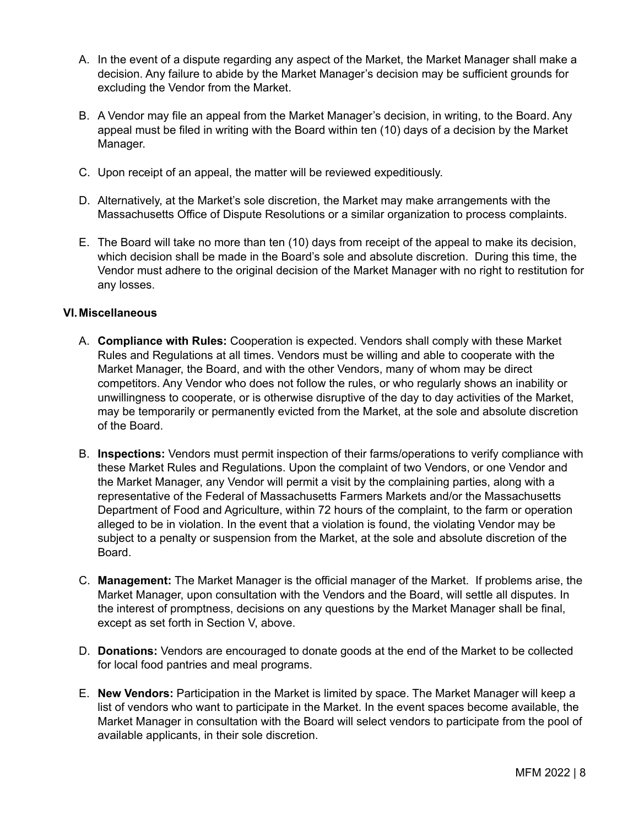- A. In the event of a dispute regarding any aspect of the Market, the Market Manager shall make a decision. Any failure to abide by the Market Manager's decision may be sufficient grounds for excluding the Vendor from the Market.
- B. A Vendor may file an appeal from the Market Manager's decision, in writing, to the Board. Any appeal must be filed in writing with the Board within ten (10) days of a decision by the Market Manager.
- C. Upon receipt of an appeal, the matter will be reviewed expeditiously.
- D. Alternatively, at the Market's sole discretion, the Market may make arrangements with the Massachusetts Office of Dispute Resolutions or a similar organization to process complaints.
- E. The Board will take no more than ten (10) days from receipt of the appeal to make its decision, which decision shall be made in the Board's sole and absolute discretion. During this time, the Vendor must adhere to the original decision of the Market Manager with no right to restitution for any losses.

## **VI.Miscellaneous**

- A. **Compliance with Rules:** Cooperation is expected. Vendors shall comply with these Market Rules and Regulations at all times. Vendors must be willing and able to cooperate with the Market Manager, the Board, and with the other Vendors, many of whom may be direct competitors. Any Vendor who does not follow the rules, or who regularly shows an inability or unwillingness to cooperate, or is otherwise disruptive of the day to day activities of the Market, may be temporarily or permanently evicted from the Market, at the sole and absolute discretion of the Board.
- B. **Inspections:** Vendors must permit inspection of their farms/operations to verify compliance with these Market Rules and Regulations. Upon the complaint of two Vendors, or one Vendor and the Market Manager, any Vendor will permit a visit by the complaining parties, along with a representative of the Federal of Massachusetts Farmers Markets and/or the Massachusetts Department of Food and Agriculture, within 72 hours of the complaint, to the farm or operation alleged to be in violation. In the event that a violation is found, the violating Vendor may be subject to a penalty or suspension from the Market, at the sole and absolute discretion of the Board.
- C. **Management:** The Market Manager is the official manager of the Market. If problems arise, the Market Manager, upon consultation with the Vendors and the Board, will settle all disputes. In the interest of promptness, decisions on any questions by the Market Manager shall be final, except as set forth in Section V, above.
- D. **Donations:** Vendors are encouraged to donate goods at the end of the Market to be collected for local food pantries and meal programs.
- E. **New Vendors:** Participation in the Market is limited by space. The Market Manager will keep a list of vendors who want to participate in the Market. In the event spaces become available, the Market Manager in consultation with the Board will select vendors to participate from the pool of available applicants, in their sole discretion.